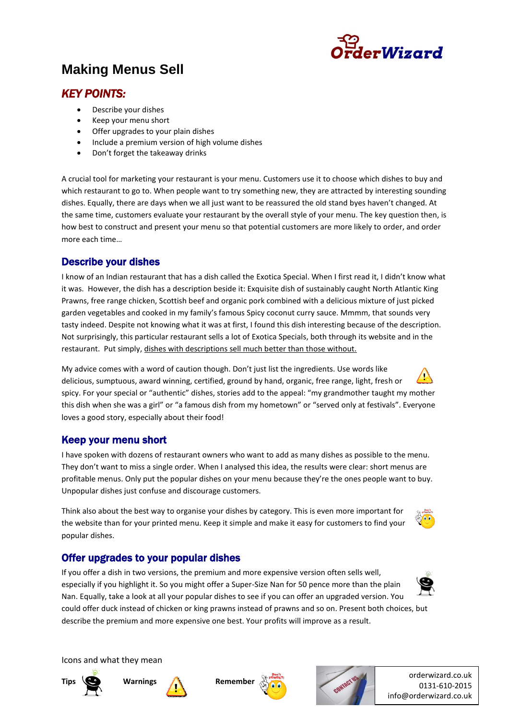

# **Making Menus Sell**

# *KEY POINTS:*

- Describe your dishes
- Keep your menu short
- Offer upgrades to your plain dishes
- Include a premium version of high volume dishes
- Don't forget the takeaway drinks

A crucial tool for marketing your restaurant is your menu. Customers use it to choose which dishes to buy and which restaurant to go to. When people want to try something new, they are attracted by interesting sounding dishes. Equally, there are days when we all just want to be reassured the old stand byes haven't changed. At the same time, customers evaluate your restaurant by the overall style of your menu. The key question then, is how best to construct and present your menu so that potential customers are more likely to order, and order more each time…

### Describe your dishes

I know of an Indian restaurant that has a dish called the Exotica Special. When I first read it, I didn't know what it was. However, the dish has a description beside it: Exquisite dish of sustainably caught North Atlantic King Prawns, free range chicken, Scottish beef and organic pork combined with a delicious mixture of just picked garden vegetables and cooked in my family's famous Spicy coconut curry sauce. Mmmm, that sounds very tasty indeed. Despite not knowing what it was at first, I found this dish interesting because of the description. Not surprisingly, this particular restaurant sells a lot of Exotica Specials, both through its website and in the restaurant. Put simply, dishes with descriptions sell much better than those without.

My advice comes with a word of caution though. Don't just list the ingredients. Use words like delicious, sumptuous, award winning, certified, ground by hand, organic, free range, light, fresh or spicy. For your special or "authentic" dishes, stories add to the appeal: "my grandmother taught my mother this dish when she was a girl" or "a famous dish from my hometown" or "served only at festivals". Everyone loves a good story, especially about their food!

### Keep your menu short

I have spoken with dozens of restaurant owners who want to add as many dishes as possible to the menu. They don't want to miss a single order. When I analysed this idea, the results were clear: short menus are profitable menus. Only put the popular dishes on your menu because they're the ones people want to buy. Unpopular dishes just confuse and discourage customers.

Think also about the best way to organise your dishes by category. This is even more important for the website than for your printed menu. Keep it simple and make it easy for customers to find your popular dishes.

# Offer upgrades to your popular dishes

If you offer a dish in two versions, the premium and more expensive version often sells well, especially if you highlight it. So you might offer a Super-Size Nan for 50 pence more than the plain Nan. Equally, take a look at all your popular dishes to see if you can offer an upgraded version. You could offer duck instead of chicken or king prawns instead of prawns and so on. Present both choices, but describe the premium and more expensive one best. Your profits will improve as a result.



Icons and what they mean